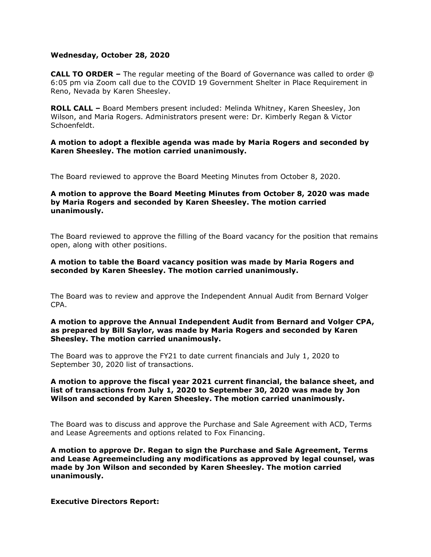### **Wednesday, October 28, 2020**

**CALL TO ORDER –** The regular meeting of the Board of Governance was called to order @ 6:05 pm via Zoom call due to the COVID 19 Government Shelter in Place Requirement in Reno, Nevada by Karen Sheesley.

**ROLL CALL –** Board Members present included: Melinda Whitney, Karen Sheesley, Jon Wilson, and Maria Rogers. Administrators present were: Dr. Kimberly Regan & Victor Schoenfeldt.

**A motion to adopt a flexible agenda was made by Maria Rogers and seconded by Karen Sheesley. The motion carried unanimously.** 

The Board reviewed to approve the Board Meeting Minutes from October 8, 2020.

# **A motion to approve the Board Meeting Minutes from October 8, 2020 was made by Maria Rogers and seconded by Karen Sheesley. The motion carried unanimously.**

The Board reviewed to approve the filling of the Board vacancy for the position that remains open, along with other positions.

### **A motion to table the Board vacancy position was made by Maria Rogers and seconded by Karen Sheesley. The motion carried unanimously.**

The Board was to review and approve the Independent Annual Audit from Bernard Volger CPA.

### **A motion to approve the Annual Independent Audit from Bernard and Volger CPA, as prepared by Bill Saylor, was made by Maria Rogers and seconded by Karen Sheesley. The motion carried unanimously.**

The Board was to approve the FY21 to date current financials and July 1, 2020 to September 30, 2020 list of transactions.

## **A motion to approve the fiscal year 2021 current financial, the balance sheet, and list of transactions from July 1, 2020 to September 30, 2020 was made by Jon Wilson and seconded by Karen Sheesley. The motion carried unanimously.**

The Board was to discuss and approve the Purchase and Sale Agreement with ACD, Terms and Lease Agreements and options related to Fox Financing.

**A motion to approve Dr. Regan to sign the Purchase and Sale Agreement, Terms and Lease Agreemeincluding any modifications as approved by legal counsel, was made by Jon Wilson and seconded by Karen Sheesley. The motion carried unanimously.**

**Executive Directors Report:**